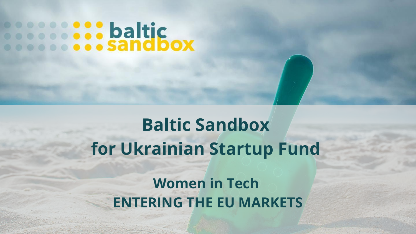# **Secondial Sandbox**

## **Baltic Sandbox for Ukrainian Startup Fund**

## **Women in Tech ENTERING THE EU MARKETS**

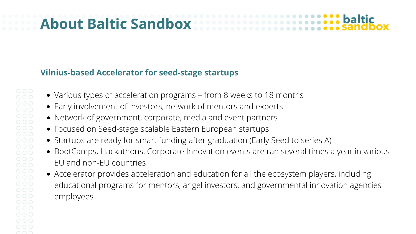## **About Baltic Sandbox**

- Various types of acceleration programs from 8 weeks to 18 months
- Early involvement of investors, network of mentors and experts
- Network of government, corporate, media and event partners
- Focused on Seed-stage scalable Eastern European startups
- Startups are ready for smart funding after graduation (Early Seed to series A)
- BootCamps, Hackathons, Corporate Innovation events are ran several times a year in various EU and non-EU countries
- Accelerator provides acceleration and education for all the ecosystem players, including educational programs for mentors, angel investors, and governmental innovation agencies employees



- 
- 

#### **Vilnius-based Accelerator for seed-stage startups**

00000  $000$  $\circ \circ \circ$  $000$  $\circ \circ \circ$  $\circ \circ \circ$  $000$  $000$  $000$  $\circ$   $\circ$   $\circ$  $\circ$   $\circ$   $\circ$ nnn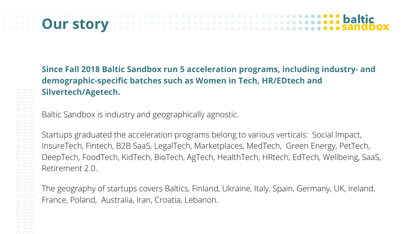## **Our story**

 $000$  $000$  $000$  $\circ$   $\circ$   $\circ$ 

**Since Fall 2018 Baltic Sandbox run 5 acceleration programs, including industry- and demographic-specific batches such as Women in Tech, HR/EDtech and Silvertech/Agetech.**

Baltic Sandbox is industry and geographically agnostic.

Startups graduated the acceleration programs belong to various verticals: Social Impact, InsureTech, Fintech, B2B SaaS, LegalTech, Marketplaces, MedTech, Green Energy, PetTech, DeepTech, FoodTech, KidTech, BioTech, AgTech, HealthTech, HRtech, EdTech, Wellbeing, SaaS, Retirement 2.0.

The geography of startups covers Baltics, Finland, Ukraine, Italy, Spain, Germany, UK, Ireland, France, Poland, Australia, Iran, Croatia, Lebanon.

## **baltic**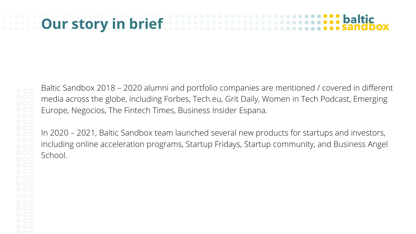### **baltic Our story in brief**

 $\circ \circ \circ$ 00000  $000$  $000$  $000$  $000$  $\circ$   $\circ$   $\circ$ 000  $000$ 

Baltic Sandbox 2018 – 2020 alumni and portfolio companies are mentioned / covered in different media across the globe, including Forbes, Tech.eu, Grit Daily, Women in Tech Podcast, Emerging Europe, Negocios, The Fintech Times, Business Insider Espana.

In 2020 – 2021, Baltic Sandbox team launched several new products for startups and investors, including online acceleration programs, Startup Fridays, Startup community, and Business Angel School.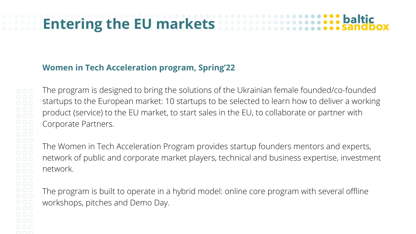## **Entering the EU markets**

#### **Women in Tech Acceleration program, Spring'22**

The program is designed to bring the solutions of the Ukrainian female founded/co-founded startups to the European market: 10 startups to be selected to learn how to deliver a working product (service) to the EU market, to start sales in the EU, to collaborate or partner with Corporate Partners.

The Women in Tech Acceleration Program provides startup founders mentors and experts, network of public and corporate market players, technical and business expertise, investment network.

The program is built to operate in a hybrid model: online core program with several offline workshops, pitches and Demo Day.

## baltic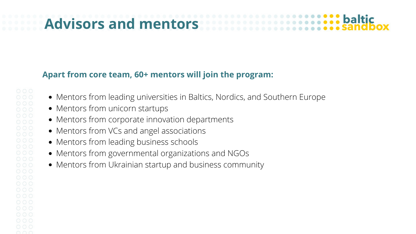## **Advisors and mentors**

- Mentors from leading universities in Baltics, Nordics, and Southern Europe
- Mentors from unicorn startups
- Mentors from corporate innovation departments
- Mentors from VCs and angel associations
- Mentors from leading business schools
- Mentors from governmental organizations and NGOs
- Mentors from Ukrainian startup and business community





#### **Apart from core team, 60+ mentors will join the program:**

 $\circ \circ \circ$  $\circ \circ \circ$  $000$  $000$  $0000$  $\circ \circ \circ$  $\circ \circ \circ$  $000$  $000$  $000$  $000$  $000$  $000$  $\circ$   $\circ$   $\circ$  $\circ$   $\circ$   $\circ$  $000$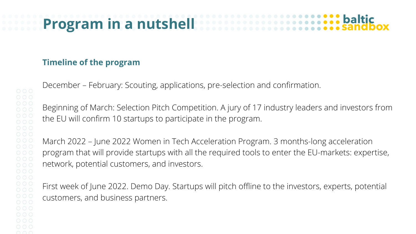## **Program in a nutshell**

### **Timeline of the program**

 $000$ 

 $000$ 

December – February: Scouting, applications, pre-selection and confirmation. Beginning of March: Selection Pitch Competition. A jury of 17 industry leaders and investors from the EU will confirm 10 startups to participate in the program. March 2022 – June 2022 Women in Tech Acceleration Program. 3 months-long acceleration program that will provide startups with all the required tools to enter the EU-markets: expertise, network, potential customers, and investors. First week of June 2022. Demo Day. Startups will pitch offline to the investors, experts, potential customers, and business partners.

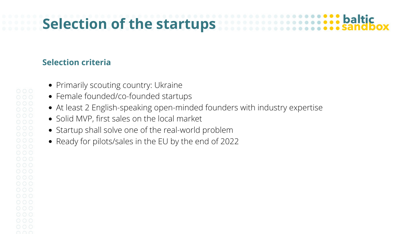## **Selection of the startups**

#### **Selection criteria**

- Primarily scouting country: Ukraine
- Female founded/co-founded startups
- At least 2 English-speaking open-minded founders with industry expertise
- Solid MVP, first sales on the local market
- Startup shall solve one of the real-world problem
- Ready for pilots/sales in the EU by the end of 2022

 $\circ \circ \circ$  $000$ 0000  $\circ \circ \circ$  $000$  $000$  $000$  $000$  $000$  $000$  $000$  $000$  $000$  $000$  $000$  $\circ \circ \circ$  $\circ \circ \circ$  $000$ 

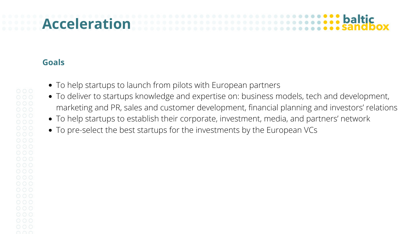### **baltic Acceleration**

- To help startups to launch from pilots with European partners
- To deliver to startups knowledge and expertise on: business models, tech and development, marketing and PR, sales and customer development, financial planning and investors' relations
- To help startups to establish their corporate, investment, media, and partners' network
- To pre-select the best startups for the investments by the European VCs

 $\circ \circ \circ$  $000$  $000$  $\circ \circ \circ$  $\circ \circ \circ$  $000$  $000$  $000$  $000$  $000$  $000$  $000$  $000$  $000$  $000$  $000$  $000$  $\circ \circ \circ$  $\circ \circ \circ$  $000$ 

#### **Goals**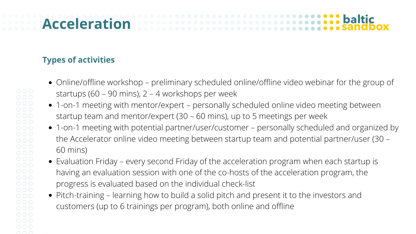### baltic **Acceleration**

- Online/offline workshop preliminary scheduled online/offline video webinar for the group of startups (60 – 90 mins),  $2 - 4$  workshops per week
- 1-on-1 meeting with mentor/expert personally scheduled online video meeting between startup team and mentor/expert (30 – 60 mins), up to 5 meetings per week 1-on-1 meeting with potential partner/user/customer – personally scheduled and organized by the Accelerator online video meeting between startup team and potential partner/user (30 –
- 60 mins)
- Evaluation Friday every second Friday of the acceleration program when each startup is having an evaluation session with one of the co-hosts of the acceleration program, the progress is evaluated based on the individual check-list
- Pitch-training learning how to build a solid pitch and present it to the investors and customers (up to 6 trainings per program), both online and offline

### **Types of activities**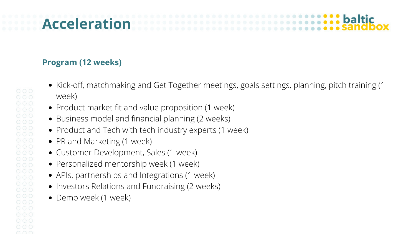## **Acceleration**

#### **Program (12 weeks)**

- Kick-off, matchmaking and Get Together meetings, goals settings, planning, pitch training (1 week)
- Product market fit and value proposition (1 week)
- Business model and financial planning (2 weeks)
- Product and Tech with tech industry experts (1 week)
- PR and Marketing (1 week)
- Customer Development, Sales (1 week)
- Personalized mentorship week (1 week)
- APIs, partnerships and Integrations (1 week)
- Investors Relations and Fundraising (2 weeks)
- Demo week (1 week)

 $000$  $000$  $\circ \circ \circ$  $000$  $\circ \circ \circ$  $000$  $\circ \circ \circ$  $\circ \circ \circ$  $000$  $\circ \circ \circ$  $\circ \circ \circ$  $\circ \circ \circ$  $000$  $000$  $000$  $000$  $000$  $000$ 

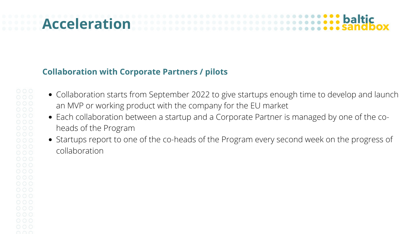## **Acceleration**

- Collaboration starts from September 2022 to give startups enough time to develop and launch an MVP or working product with the company for the EU market
- Each collaboration between a startup and a Corporate Partner is managed by one of the coheads of the Program
- Startups report to one of the co-heads of the Program every second week on the progress of collaboration

## baltic

#### **Collaboration with Corporate Partners / pilots**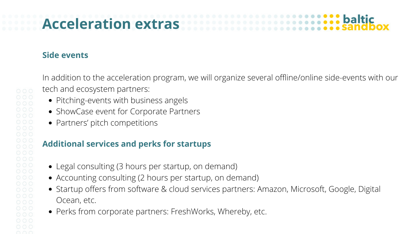## **Acceleration extras**

#### **Side events**

In addition to the acceleration program, we will organize several offline/online side-events with our tech and ecosystem partners:

- Pitching-events with business angels
- ShowCase event for Corporate Partners
- Partners' pitch competitions

- Legal consulting (3 hours per startup, on demand)
- Accounting consulting (2 hours per startup, on demand)
- Startup offers from software & cloud services partners: Amazon, Microsoft, Google, Digital Ocean, etc.
- Perks from corporate partners: FreshWorks, Whereby, etc.



#### **Additional services and perks for startups**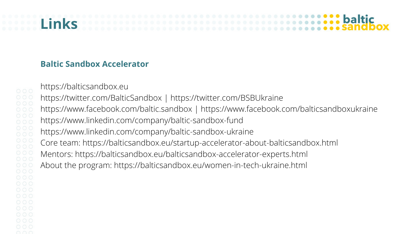## **Links**

#### **Baltic Sandbox Accelerator**

 $000$  $000$  $000$  $000$  $000$  $\circ \circ \circ$ n n n

https://balticsandbox.eu

https://twitter.com/BalticSandbox | https://twitter.com/BSBUkraine https://www.facebook.com/baltic.sandbox | https://www.facebook.com/balticsandboxukraine https://www.linkedin.com/company/baltic-sandbox-fund https://www.linkedin.com/company/baltic-sandbox-ukraine Core team: https://balticsandbox.eu/startup-accelerator-about-balticsandbox.html Mentors: https://balticsandbox.eu/balticsandbox-accelerator-experts.html About the program: https://balticsandbox.eu/women-in-tech-ukraine.html